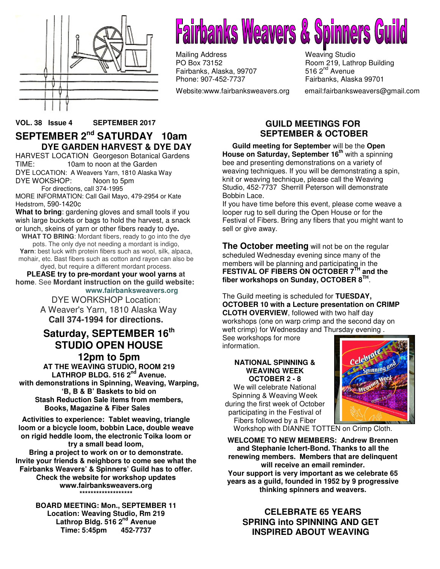

# **Fairbanks Weavers & Spinners (**

Mailing Address Weaving Studio<br>
PO Box 73152 Moom 219, Lath Fairbanks, Alaska, 99707 Phone: 907-452-7737 Fairbanks, Alaska 99701

Website:www.fairbanksweavers.org email:fairbanksweavers@gmail.com

Room 219, Lathrop Building<br>516  $2<sup>nd</sup>$  Avenue

### **VOL. 38 Issue 4 SEPTEMBER 2017 SEPTEMBER 2nd SATURDAY 10am DYE GARDEN HARVEST & DYE DAY**

HARVEST LOCATION Georgeson Botanical Gardens TIME: 10am to noon at the Garden DYE LOCATION: A Weavers Yarn, 1810 Alaska Way DYE WOKSHOP: Noon to 5pm For directions, call 374-1995

MORE INFORMATION: Call Gail Mayo, 479-2954 or Kate Hedstrom, 590-1420c

**What to bring**: gardening gloves and small tools if you wish large buckets or bags to hold the harvest, a snack or lunch, skeins of yarn or other fibers ready to dye**.**

**WHAT TO BRING**: Mordant fibers, ready to go into the dye pots. The only dye not needing a mordant is indigo, **Yarn**: best luck with protein fibers such as wool, silk, alpaca, mohair, etc. Bast fibers such as cotton and rayon can also be

dyed, but require a different mordant process.

**PLEASE try to pre-mordant your wool yarns at home**. See **Mordant instruction on the guild website: www.fairbanksweavers.org**

> DYE WORKSHOP Location: A Weaver's Yarn, 1810 Alaska Way **Call 374-1994 for directions.**

### **Saturday, SEPTEMBER 16th STUDIO OPEN HOUSE**

**12pm to 5pm AT THE WEAVING STUDIO, ROOM 219 LATHROP BLDG. 516 2nd Avenue. with demonstrations in Spinning, Weaving, Warping, 'B, B & B' Baskets to bid on Stash Reduction Sale items from members, Books, Magazine & Fiber Sales** 

**Activities to experience: Tablet weaving, triangle loom or a bicycle loom, bobbin Lace, double weave on rigid heddle loom, the electronic Toika loom or try a small bead loom, Bring a project to work on or to demonstrate. Invite your friends & neighbors to come see what the Fairbanks Weavers' & Spinners' Guild has to offer. Check the website for workshop updates** 

**www.fairbanksweavers.org \*\*\*\*\*\*\*\*\*\*\*\*\*\*\*\*\*\*\*** 

**BOARD MEETING: Mon., SEPTEMBER 11 Location: Weaving Studio, Rm 219 Lathrop Bldg. 516 2nd Avenue Time: 5:45pm 452-7737**

### **GUILD MEETINGS FOR SEPTEMBER & OCTOBER**

 **Guild meeting for September** will be the **Open House on Saturday, September 16th** with a spinning bee and presenting demonstrations on a variety of weaving techniques. If you will be demonstrating a spin, knit or weaving technique, please call the Weaving Studio, 452-7737 Sherrill Peterson will demonstrate Bobbin Lace.

If you have time before this event, please come weave a looper rug to sell during the Open House or for the Festival of Fibers. Bring any fibers that you might want to sell or give away.

**The October meeting** will not be on the regular scheduled Wednesday evening since many of the members will be planning and participating in the **FESTIVAL OF FIBERS ON OCTOBER 7TH and the fiber workshops on Sunday, OCTOBER 8TH** .

The Guild meeting is scheduled for **TUESDAY, OCTOBER 10 with a Lecture presentation on CRIMP CLOTH OVERVIEW**, followed with two half day workshops (one on warp crimp and the second day on weft crimp) for Wednesday and Thursday evening .

See workshops for more information.

### **NATIONAL SPINNING & WEAVING WEEK OCTOBER 2 - 8**

We will celebrate National Spinning & Weaving Week during the first week of October participating in the Festival of Fibers followed by a Fiber



Workshop with DIANNE TOTTEN on Crimp Cloth.

**WELCOME TO NEW MEMBERS: Andrew Brennen and Stephanie Ichert-Bond. Thanks to all the renewing members. Members that are delinquent will receive an email reminder. Your support is very important as we celebrate 65 years as a guild, founded in 1952 by 9 progressive thinking spinners and weavers.** 

### **CELEBRATE 65 YEARS SPRING into SPINNING AND GET INSPIRED ABOUT WEAVING**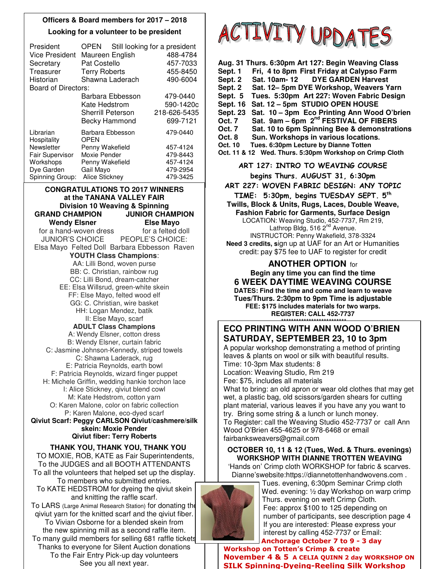### **Officers & Board members for 2017 – 2018 Looking for a volunteer to be president**

| President<br><b>Vice President</b> | Maureen English<br>Pat Costello |                  | OPEN Still looking for a president<br>488-4784<br>457-7033 |
|------------------------------------|---------------------------------|------------------|------------------------------------------------------------|
| Secretary<br>Treasurer             | <b>Terry Roberts</b>            |                  | 455-8450                                                   |
| Historian                          | Shawna Laderach                 |                  | 490-6004                                                   |
| Board of Directors:                |                                 |                  |                                                            |
|                                    |                                 | Barbara Ebbesson | 479-0440                                                   |
|                                    | Kate Hedstrom                   |                  | 590-1420c                                                  |
|                                    | <b>Sherrill Peterson</b>        |                  | 218-626-5435                                               |
|                                    | Becky Hammond                   |                  | 699-7121                                                   |
| Librarian<br>Hospitality           | Barbara Ebbesson<br>OPEN        |                  | 479-0440                                                   |
| Newsletter                         | Penny Wakefield                 |                  | 457-4124                                                   |
| <b>Fair Supervisor</b>             | Moxie Pender                    |                  | 479-8443                                                   |
| Workshops                          | Penny Wakefield                 |                  | 457-4124                                                   |
| Dye Garden                         | Gail Mayo                       |                  | 479-2954                                                   |
| Spinning Group:                    | Alice Stickney                  |                  | 479-3425                                                   |

**CONGRATULATIONS TO 2017 WINNERS at the TANANA VALLEY FAIR Division 10 Weaving & Spinning GRAND CHAMPION JUNIOR CHAMPION Wendy Elsner Else Mayo**  for a hand-woven dressfor a felted doll JUNIOR'S CHOICE PEOPLE'S CHOICE: Elsa Mayo Felted Doll Barbara Ebbesson Raven **YOUTH Class Champions**: AA: Lilli Bond, woven purse BB: C. Christian, rainbow rug CC: Lilli Bond, dream-catcher EE: Elsa Willsrud, green-white skein FF: Else Mayo, felted wood elf GG: C. Christian, wire basket HH: Logan Mendez, batik II: Else Mayo, scarf **ADULT Class Champions** A: Wendy Elsner, cotton dress B: Wendy Elsner, curtain fabric C: Jasmine Johnson-Kennedy, striped towels C: Shawna Laderack, rug E: Patricia Reynolds, earth bowl F: Patricia Reynolds, wizard finger puppet H: Michele Griffin, wedding hankie torchon lace I: Alice Stickney, qiviut blend cowl M: Kate Hedstrom, cotton yarn O: Karen Malone, color on fabric collection P: Karen Malone, eco-dyed scarf **Qiviut Scarf: Peggy CARLSON Qiviut/cashmere/silk skein: Moxie Pender** 

**Qiviut fiber: Terry Roberts THANK YOU, THANK YOU, THANK YOU** 

TO MOXIE, ROB, KATE as Fair Superintendents, To the JUDGES and all BOOTH ATTENDANTS To all the volunteers that helped set up the display. To members who submitted entries. To KATE HEDSTROM for dyeing the qiviut skein and knitting the raffle scarf. To LARS (Large Animal Research Station) for donating the qiviut yarn for the knitted scarf and the qiviut fiber. To Vivian Osborne for a blended skein from the new spinning mill as a second raffle item. To many guild members for selling 681 raffle tickets Thanks to everyone for Silent Auction donations To the Fair Entry Pick-up day volunteers See you all next year.



| Aug. 31 Thurs. 6:30pm Art 127: Begin Weaving Class<br>Fri, 4 to 8pm First Friday at Calypso Farm<br>Sept. 1<br>Sat. 10am- 12<br><b>DYE GARDEN Harvest</b><br>Sept. 2<br>Sat. 12-5pm DYE Workshop, Weavers Yarn<br>Sept. 2<br>Tues. 5:30pm Art 227: Woven Fabric Design<br>Sept. 5<br>Sat. 12 - 5pm STUDIO OPEN HOUSE<br><b>Sept. 16</b><br>Sat. 10 - 3pm Eco Printing Ann Wood O'brien<br><b>Sept. 23</b><br>Sat. 9am - 6pm 2 <sup>nd</sup> FESTIVAL OF FIBERS<br>Oct. 7<br>Sat. 10 to 6pm Spinning Bee & demonstrations<br>Oct. 7<br>Sun. Workshops in various locations.<br>Oct. 8<br>Tues. 6:30pm Lecture by Dianne Totten<br>Oct. 10<br>Oct. 11 & 12 Wed. Thurs. 5:30pm Workshop on Crimp Cloth |
|-----------------------------------------------------------------------------------------------------------------------------------------------------------------------------------------------------------------------------------------------------------------------------------------------------------------------------------------------------------------------------------------------------------------------------------------------------------------------------------------------------------------------------------------------------------------------------------------------------------------------------------------------------------------------------------------------------|
| ART 127: INTRO TO WEAVING COURSE                                                                                                                                                                                                                                                                                                                                                                                                                                                                                                                                                                                                                                                                    |
| begins Thurs. AUGUST 31, 6:30pm                                                                                                                                                                                                                                                                                                                                                                                                                                                                                                                                                                                                                                                                     |
| ART 227: WOVEN FABRIC DESIGN: ANY TOPIC                                                                                                                                                                                                                                                                                                                                                                                                                                                                                                                                                                                                                                                             |
| TIME: 5:30pm, begins TUESDAY SEPT. 5th                                                                                                                                                                                                                                                                                                                                                                                                                                                                                                                                                                                                                                                              |
| Twills, Block & Units, Rugs, Laces, Double Weave,                                                                                                                                                                                                                                                                                                                                                                                                                                                                                                                                                                                                                                                   |
| <b>Fashion Fabric for Garments, Surface Design</b>                                                                                                                                                                                                                                                                                                                                                                                                                                                                                                                                                                                                                                                  |
| LOCATION: Weaving Studio, 452-7737, Rm 219,<br>Lathrop Bldg, 516 2 <sup>nd</sup> Avenue.                                                                                                                                                                                                                                                                                                                                                                                                                                                                                                                                                                                                            |
| INSTRUCTOR: Penny Wakefield, 378-3324                                                                                                                                                                                                                                                                                                                                                                                                                                                                                                                                                                                                                                                               |
| Need 3 credits, sign up at UAF for an Art or Humanities                                                                                                                                                                                                                                                                                                                                                                                                                                                                                                                                                                                                                                             |
| credit: pay \$75 fee to UAF to register for credit                                                                                                                                                                                                                                                                                                                                                                                                                                                                                                                                                                                                                                                  |
| <b>ANOTHER OPTION for</b>                                                                                                                                                                                                                                                                                                                                                                                                                                                                                                                                                                                                                                                                           |
| Begin any time you can find the time                                                                                                                                                                                                                                                                                                                                                                                                                                                                                                                                                                                                                                                                |
| <b>6 WEEK DAYTIME WEAVING COURSE</b>                                                                                                                                                                                                                                                                                                                                                                                                                                                                                                                                                                                                                                                                |
| DATES: Find the time and come and learn to weave                                                                                                                                                                                                                                                                                                                                                                                                                                                                                                                                                                                                                                                    |
| Tues/Thurs. 2:30pm to 9pm Time is adjustable                                                                                                                                                                                                                                                                                                                                                                                                                                                                                                                                                                                                                                                        |
| FEE: \$175 includes materials for two warps.<br><b>REGISTER: CALL 452-7737</b>                                                                                                                                                                                                                                                                                                                                                                                                                                                                                                                                                                                                                      |
| ************************                                                                                                                                                                                                                                                                                                                                                                                                                                                                                                                                                                                                                                                                            |
| <b>ECO PRINTING WITH ANN WOOD O'BRIEN</b>                                                                                                                                                                                                                                                                                                                                                                                                                                                                                                                                                                                                                                                           |
| <b>SATURDAY, SEPTEMBER 23, 10 to 3pm</b><br>A popular workshop demonstrating a method of printing                                                                                                                                                                                                                                                                                                                                                                                                                                                                                                                                                                                                   |
| leaves & plants on wool or silk with beautiful results.                                                                                                                                                                                                                                                                                                                                                                                                                                                                                                                                                                                                                                             |
| Time: 10-3pm Max students: 8                                                                                                                                                                                                                                                                                                                                                                                                                                                                                                                                                                                                                                                                        |
| Location: Weaving Studio, Rm 219                                                                                                                                                                                                                                                                                                                                                                                                                                                                                                                                                                                                                                                                    |
| Fee: \$75, includes all materials                                                                                                                                                                                                                                                                                                                                                                                                                                                                                                                                                                                                                                                                   |
| What to bring: an old apron or wear old clothes that may get                                                                                                                                                                                                                                                                                                                                                                                                                                                                                                                                                                                                                                        |

wet, a plastic bag, old scissors/garden shears for cutting plant material, various leaves if you have any you want to try. Bring some string & a lunch or lunch money. To Register: call the Weaving Studio 452-7737 or call Ann Wood O'Brien 455-4625 or 978-6468 or email fairbanksweavers@gmail.com

### **OCTOBER 10, 11 & 12 (Tues, Wed. & Thurs. evenings) WORKSHOP WITH DIANNE TROTTEN WEAVING**

'Hands on' Crimp cloth WORKSHOP for fabric & scarves. Dianne'swebsite:https://diannetottenhandwovens.com .



 Tues. evening, 6:30pm Seminar Crimp cloth Wed. evening: ½ day Workshop on warp crimp Thurs. evening on weft Crimp Cloth. Fee: approx \$100 to 125 depending on number of participants, see description page 4 If you are interested: Please express your interest by calling 452-7737 or Email: Anchorage October 7 to 9 - 3 day

Workshop on Totten's Crimp & create November 4 & 5 A CELIA QUINN 2 day WORKSHOP ON SILK Spinning-Dyeing-Reeling Silk Workshop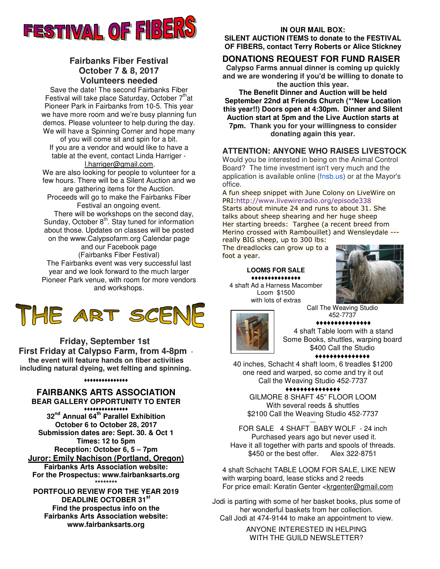

### **Fairbanks Fiber Festival October 7 & 8, 2017 Volunteers needed**

Save the date! The second Fairbanks Fiber Festival will take place Saturday, October  $7<sup>th</sup>$ at Pioneer Park in Fairbanks from 10-5. This year we have more room and we're busy planning fun demos. Please volunteer to help during the day. We will have a Spinning Corner and hope many

of you will come sit and spin for a bit. If you are a vendor and would like to have a table at the event, contact Linda Harriger l.harriger@gmail.com.

We are also looking for people to volunteer for a few hours. There will be a Silent Auction and we

are gathering items for the Auction. Proceeds will go to make the Fairbanks Fiber Festival an ongoing event.

 There will be workshops on the second day, Sunday, October 8<sup>th</sup>. Stay tuned for information about those. Updates on classes will be posted on the www.Calypsofarm.org Calendar page

and our Facebook page (Fairbanks Fiber Festival) The Fairbanks event was very successful last year and we look forward to the much larger Pioneer Park venue, with room for more vendors and workshops.

## THE ART SCENE

**Friday, September 1st First Friday at Calypso Farm, from 4-8pm the event will feature hands on fiber activities including natural dyeing, wet felting and spinning.**

### ♦♦♦♦♦♦♦♦♦♦♦♦♦♦♦

### **FAIRBANKS ARTS ASSOCIATION BEAR GALLERY OPPORTUNITY TO ENTER**

♦♦♦♦♦♦♦♦♦♦♦♦♦♦♦ **32nd Annual 64th Parallel Exhibition October 6 to October 28, 2017 Submission dates are: Sept. 30. & Oct 1 Times: 12 to 5pm Reception: October 6, 5 – 7pm Juror: Emily Nachison (Portland, Oregon) Fairbanks Arts Association website: For the Prospectus: www.fairbanksarts.org \*\*\*\*\*\*\*\*** 

**PORTFOLIO REVIEW FOR THE YEAR 2019 DEADLINE OCTOBER 31st Find the prospectus info on the Fairbanks Arts Association website: www.fairbanksarts.org** 

#### **IN OUR MAIL BOX:**

**SILENT AUCTION ITEMS to donate to the FESTIVAL OF FIBERS, contact Terry Roberts or Alice Stickney**

### **DONATIONS REQUEST FOR FUND RAISER**

**Calypso Farms annual dinner is coming up quickly and we are wondering if you'd be willing to donate to the auction this year.**

**The Benefit Dinner and Auction will be held September 22nd at Friends Church (\*\*New Location this year!!) Doors open at 4:30pm. Dinner and Silent Auction start at 5pm and the Live Auction starts at 7pm. Thank you for your willingness to consider donating again this year.**

### **ATTENTION: ANYONE WHO RAISES LIVESTOCK**

Would you be interested in being on the Animal Control Board? The time investment isn't very much and the application is available online (fnsb.us) or at the Mayor's office.

A fun sheep snippet with June Colony on LiveWire on PRI:http://www.livewireradio.org/episode338 Starts about minute 24 and runs to about 31. She talks about sheep shearing and her huge sheep Her starting breeds: Targhee (a recent breed from Merino crossed with Rambouillet) and Wensleydale -- really BIG sheep, up to 300 lbs:

The dreadlocks can grow up to a foot a year.

**LOOMS FOR SALE** ♦♦♦♦♦♦♦♦♦♦♦♦♦♦♦ 4 shaft Ad a Harness Macomber Loom \$1500 with lots of extras



Call The Weaving Studio 452-7737 ♦♦♦♦♦♦♦♦♦♦♦♦♦♦♦



4 shaft Table loom with a stand Some Books, shuttles, warping board \$400 Call the Studio ♦♦♦♦♦♦♦♦♦♦♦♦♦♦♦

### 40 inches, Schacht 4 shaft loom, 6 treadles \$1200 one reed and warped, so come and try it out Call the Weaving Studio 452-7737

♦♦♦♦♦♦♦♦♦♦♦♦♦♦♦

GILMORE 8 SHAFT 45" FLOOR LOOM With several reeds & shuttles \$2100 Call the Weaving Studio 452-7737

FOR SALE 4 SHAFT BABY WOLF - 24 inch Purchased years ago but never used it. Have it all together with parts and spools of threads. \$450 or the best offer. Alex 322-8751

4 shaft Schacht TABLE LOOM FOR SALE, LIKE NEW with warping board, lease sticks and 2 reeds For price email: Keratin Genter <krgenter@gmail.com

Jodi is parting with some of her basket books, plus some of her wonderful baskets from her collection. Call Jodi at 474-9144 to make an appointment to view.

> ANYONE INTERESTED IN HELPING WITH THE GUILD NEWSLETTER?